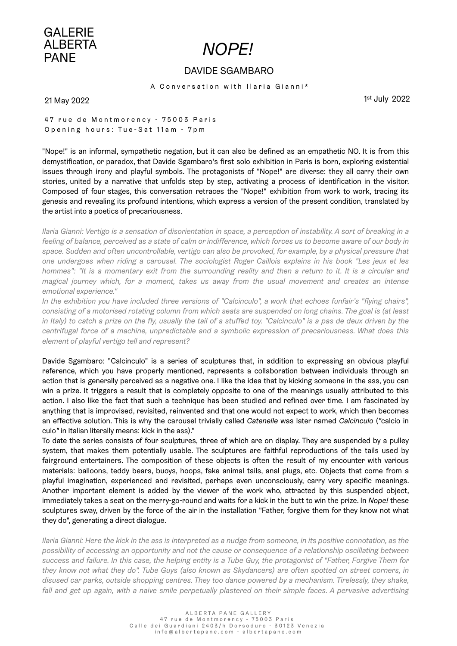

## [DAVIDE SGAMBARO](https://albertapane.com/artists/davide-sgambaro)

A Conversation with Ilaria Gianni\*

21 May 2022

1st July 2022

47 rue de Montmorency - 75003 Paris Opening hours: Tue-Sat 11am - 7pm

"Nope!" is an informal, sympathetic negation, but it can also be defined as an empathetic NO. It is from this demystification, or paradox, that Davide Sgambaro's first solo exhibition in Paris is born, exploring existential issues through irony and playful symbols. The protagonists of "Nope!" are diverse: they all carry their own stories, united by a narrative that unfolds step by step, activating a process of identification in the visitor. Composed of four stages, this conversation retraces the "Nope!" exhibition from work to work, tracing its genesis and revealing its profound intentions, which express a version of the present condition, translated by the artist into a poetics of precariousness.

*Ilaria Gianni: Vertigo is a sensation of disorientation in space, a perception of instability. A sort of breaking in a feeling of balance, perceived as a state of calm or indifference, which forces us to become aware of our body in*  space. Sudden and often uncontrollable, vertigo can also be provoked, for example, by a physical pressure that *one undergoes when riding a carousel. The sociologist Roger Caillois explains in his book "Les jeux et les*  hommes": "It is a momentary exit from the surrounding reality and then a return to it. It is a circular and *magical journey which, for a moment, takes us away from the usual movement and creates an intense emotional experience."*

*In the exhibition you have included three versions of "Calcinculo", a work that echoes funfair's "flying chairs", consisting of a motorised rotating column from which seats are suspended on long chains. The goal is (at least*  in Italy) to catch a prize on the fly, usually the tail of a stuffed toy. "Calcinculo" is a pas de deux driven by the *centrifugal force of a machine, unpredictable and a symbolic expression of precariousness. What does this element of playful vertigo tell and represent?*

Davide Sgambaro: "Calcinculo" is a series of sculptures that, in addition to expressing an obvious playful reference, which you have properly mentioned, represents a collaboration between individuals through an action that is generally perceived as a negative one. I like the idea that by kicking someone in the ass, you can win a prize. It triggers a result that is completely opposite to one of the meanings usually attributed to this action. I also like the fact that such a technique has been studied and refined over time. I am fascinated by anything that is improvised, revisited, reinvented and that one would not expect to work, which then becomes an effective solution. This is why the carousel trivially called *Catenelle* was later named *Calcinculo* (*"*calcio in culo*"* in Italian literally means: kick in the ass)."

To date the series consists of four sculptures, three of which are on display. They are suspended by a pulley system, that makes them potentially usable. The sculptures are faithful reproductions of the tails used by fairground entertainers. The composition of these objects is often the result of my encounter with various materials: balloons, teddy bears, buoys, hoops, fake animal tails, anal plugs, etc. Objects that come from a playful imagination, experienced and revisited, perhaps even unconsciously, carry very specific meanings. Another important element is added by the viewer of the work who, attracted by this suspended object, immediately takes a seat on the merry-go-round and waits for a kick in the butt to win the prize. In *Nope!* these sculptures sway, driven by the force of the air in the installation "Father, forgive them for they know not what they do", generating a direct dialogue.

*Ilaria Gianni: Here the kick in the ass is interpreted as a nudge from someone, in its positive connotation, as the possibility of accessing an opportunity and not the cause or consequence of a relationship oscillating between success and failure. In this case, the helping entity is a Tube Guy, the protagonist of "Father, Forgive Them for they know not what they do". Tube Guys (also known as Skydancers) are often spotted on street corners, in disused car parks, outside shopping centres. They too dance powered by a mechanism. Tirelessly, they shake,*  fall and get up again, with a naive smile perpetually plastered on their simple faces. A pervasive advertising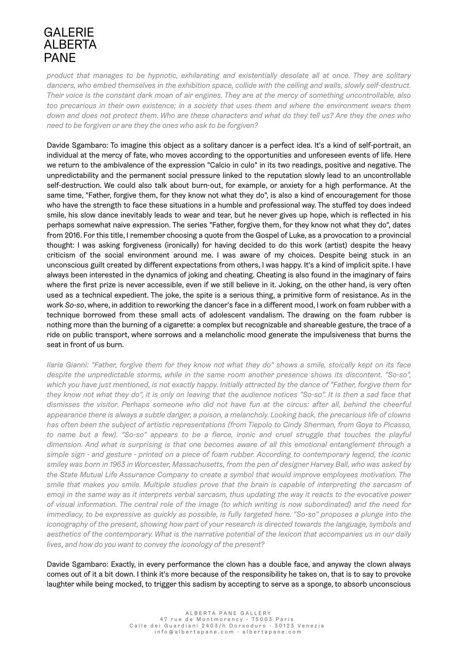*product that manages to be hypnotic, exhilarating and existentially desolate all at once. They are solitary dancers, who embed themselves in the exhibition space, collide with the ceiling and walls, slowly self-destruct. Their voice is the constant dark moan of air engines. They are at the mercy of something uncontrollable, also*  too precarious in their own existence; in a society that uses them and where the environment wears them *down and does not protect them. Who are these characters and what do they tell us? Are they the ones who need to be forgiven or are they the ones who ask to be forgiven?*

Davide Sgambaro: To imagine this object as a solitary dancer is a perfect idea. It's a kind of self-portrait, an individual at the mercy of fate, who moves according to the opportunities and unforeseen events of life. Here we return to the ambivalence of the expression "Calcio in culo" in its two readings, positive and negative. The unpredictability and the permanent social pressure linked to the reputation slowly lead to an uncontrollable self-destruction. We could also talk about burn-out, for example, or anxiety for a high performance. At the same time, "Father, forgive them, for they know not what they do", is also a kind of encouragement for those who have the strength to face these situations in a humble and professional way. The stuffed toy does indeed smile, his slow dance inevitably leads to wear and tear, but he never gives up hope, which is reflected in his perhaps somewhat naive expression. The series "Father, forgive them, for they know not what they do", dates from 2016. For this title, I remember choosing a quote from the Gospel of Luke, as a provocation to a provincial thought: I was asking forgiveness (ironically) for having decided to do this work (artist) despite the heavy criticism of the social environment around me. I was aware of my choices. Despite being stuck in an unconscious guilt created by different expectations from others, I was happy. It's a kind of implicit spite. I have always been interested in the dynamics of joking and cheating. Cheating is also found in the imaginary of fairs where the first prize is never accessible, even if we still believe in it. Joking, on the other hand, is very often used as a technical expedient. The joke, the spite is a serious thing, a primitive form of resistance. As in the work *So-so*, where, in addition to reworking the dancer's face in a different mood, I work on foam rubber with a technique borrowed from these small acts of adolescent vandalism. The drawing on the foam rubber is nothing more than the burning of a cigarette: a complex but recognizable and shareable gesture, the trace of a ride on public transport, where sorrows and a melancholic mood generate the impulsiveness that burns the seat in front of us burn.

*Ilaria Gianni: "Father, forgive them for they know not what they do" shows a smile, stoically kept on its face despite the unpredictable storms, while in the same room another presence shows its discontent. "So-so", which you have just mentioned, is not exactly happy. Initially attracted by the dance of "Father, forgive them for*  they know not what they do", it is only on leaving that the audience notices "So-so". It is then a sad face that *dismisses the visitor. Perhaps someone who did not have fun at the circus: after all, behind the cheerful appearance there is always a subtle danger, a poison, a melancholy. Looking back, the precarious life of clowns has often been the subject of artistic representations (from Tiepolo to Cindy Sherman, from Goya to Picasso, to name but a few). "So-so" appears to be a fierce, ironic and cruel struggle that touches the playful dimension. And what is surprising is that one becomes aware of all this emotional entanglement through a simple sign - and gesture - printed on a piece of foam rubber. According to contemporary legend, the iconic smiley was born in 1963 in Worcester, Massachusetts, from the pen of designer Harvey Ball, who was asked by the State Mutual Life Assurance Company to create a symbol that would improve employees motivation. The smile that makes you smile. Multiple studies prove that the brain is capable of interpreting the sarcasm of emoji in the same way as it interprets verbal sarcasm, thus updating the way it reacts to the evocative power of visual information. The central role of the image (to which writing is now subordinated) and the need for immediacy, to be expressive as quickly as possible, is fully targeted here. "So-so" proposes a plunge into the iconography of the present, showing how part of your research is directed towards the language, symbols and aesthetics of the contemporary. What is the narrative potential of the lexicon that accompanies us in our daily lives, and how do you want to convey the iconology of the present?*

Davide Sgambaro: Exactly, in every performance the clown has a double face, and anyway the clown always comes out of it a bit down. I think it's more because of the responsibility he takes on, that is to say to provoke laughter while being mocked, to trigger this sadism by accepting to serve as a sponge, to absorb unconscious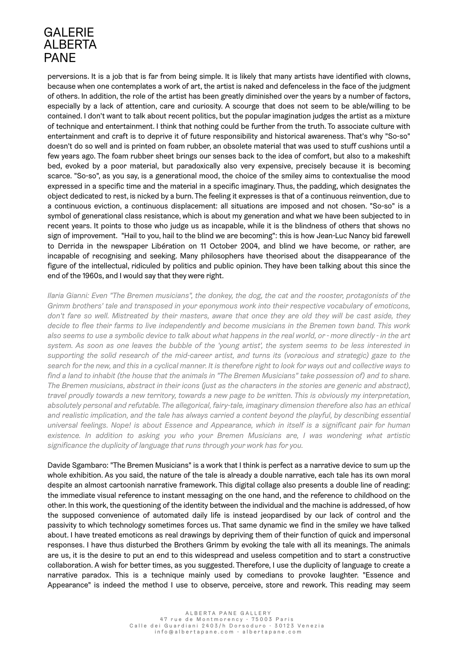perversions. It is a job that is far from being simple. It is likely that many artists have identified with clowns, because when one contemplates a work of art, the artist is naked and defenceless in the face of the judgment of others. In addition, the role of the artist has been greatly diminished over the years by a number of factors, especially by a lack of attention, care and curiosity. A scourge that does not seem to be able/willing to be contained. I don't want to talk about recent politics, but the popular imagination judges the artist as a mixture of technique and entertainment. I think that nothing could be further from the truth. To associate culture with entertainment and craft is to deprive it of future responsibility and historical awareness. That's why "So-so" doesn't do so well and is printed on foam rubber, an obsolete material that was used to stuff cushions until a few years ago. The foam rubber sheet brings our senses back to the idea of comfort, but also to a makeshift bed, evoked by a poor material, but paradoxically also very expensive, precisely because it is becoming scarce. "So-so", as you say, is a generational mood, the choice of the smiley aims to contextualise the mood expressed in a specific time and the material in a specific imaginary. Thus, the padding, which designates the object dedicated to rest, is nicked by a burn. The feeling it expresses is that of a continuous reinvention, due to a continuous eviction, a continuous displacement: all situations are imposed and not chosen. "So-so" is a symbol of generational class resistance, which is about my generation and what we have been subjected to in recent years. It points to those who judge us as incapable, while it is the blindness of others that shows no sign of improvement. "Hail to you, hail to the blind we are becoming": this is how Jean-Luc Nancy bid farewell to Derrida in the newspaper Libération on 11 October 2004, and blind we have become, or rather, are incapable of recognising and seeking. Many philosophers have theorised about the disappearance of the figure of the intellectual, ridiculed by politics and public opinion. They have been talking about this since the end of the 1960s, and I would say that they were right.

*Ilaria Gianni: Even "The Bremen musicians", the donkey, the dog, the cat and the rooster, protagonists of the Grimm brothers' tale and transposed in your eponymous work into their respective vocabulary of emoticons, don't fare so well. Mistreated by their masters, aware that once they are old they will be cast aside, they decide to flee their farms to live independently and become musicians in the Bremen town band. This work also seems to use a symbolic device to talk about what happens in the real world, or - more directly - in the art system. As soon as one leaves the bubble of the 'young artist', the system seems to be less interested in supporting the solid research of the mid-career artist, and turns its (voracious and strategic) gaze to the search for the new, and this in a cyclical manner. It is therefore right to look for ways out and collective ways to*  find a land to inhabit (the house that the animals in "The Bremen Musicians" take possession of) and to share. *The Bremen musicians, abstract in their icons (just as the characters in the stories are generic and abstract), travel proudly towards a new territory, towards a new page to be written. This is obviously my interpretation, absolutely personal and refutable. The allegorical, fairy-tale, imaginary dimension therefore also has an ethical*  and realistic implication, and the tale has always carried a content beyond the playful, by describing essential *universal feelings. Nope! is about Essence and Appearance, which in itself is a significant pair for human existence. In addition to asking you who your Bremen Musicians are, I was wondering what artistic significance the duplicity of language that runs through your work has for you.*

Davide Sgambaro: "The Bremen Musicians" is a work that I think is perfect as a narrative device to sum up the whole exhibition. As you said, the nature of the tale is already a double narrative, each tale has its own moral despite an almost cartoonish narrative framework. This digital collage also presents a double line of reading: the immediate visual reference to instant messaging on the one hand, and the reference to childhood on the other. In this work, the questioning of the identity between the individual and the machine is addressed, of how the supposed convenience of automated daily life is instead jeopardised by our lack of control and the passivity to which technology sometimes forces us. That same dynamic we find in the smiley we have talked about. I have treated emoticons as real drawings by depriving them of their function of quick and impersonal responses. I have thus disturbed the Brothers Grimm by evoking the tale with all its meanings. The animals are us, it is the desire to put an end to this widespread and useless competition and to start a constructive collaboration. A wish for better times, as you suggested. Therefore, I use the duplicity of language to create a narrative paradox. This is a technique mainly used by comedians to provoke laughter. "Essence and Appearance" is indeed the method I use to observe, perceive, store and rework. This reading may seem